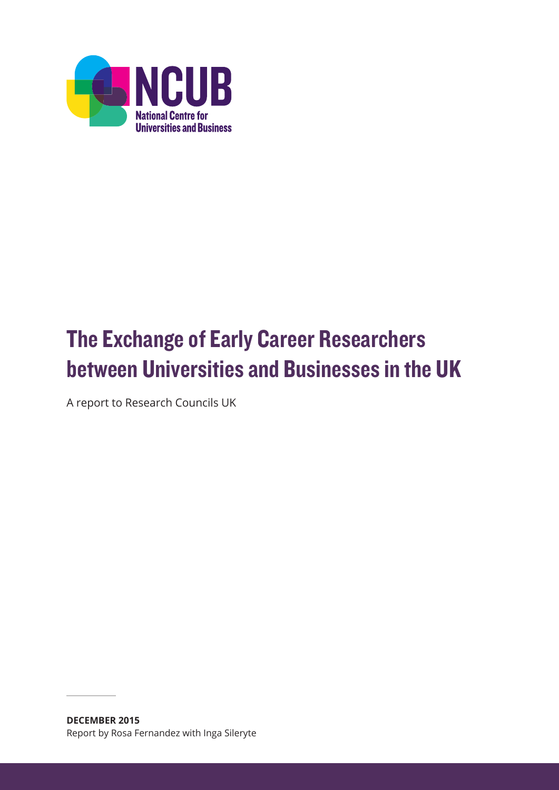

# The Exchange of Early Career Researchers between Universities and Businesses in the UK

A report to Research Councils UK

**DECEMBER 2015** Report by Rosa Fernandez with Inga Sileryte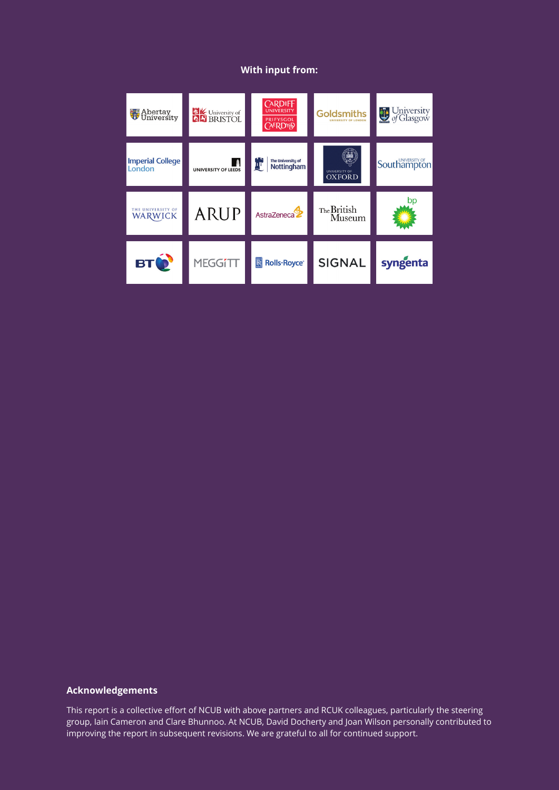### **With input from:**

| <b>Abertay</b><br>University        | <b>EXAM</b><br><b>Q</b> BRISTOL | <b>CARDIFF</b><br><b>UNIVERSITY</b><br>PRIFYSGOL<br><b>CAERDYP</b> | <b>Goldsmiths</b><br>UNIVERSITY OF LONDON | University<br>of Glasgow |
|-------------------------------------|---------------------------------|--------------------------------------------------------------------|-------------------------------------------|--------------------------|
| <b>Imperial College</b><br>London   | <b>UNIVERSITY OF LEEDS</b>      | The University of<br>四<br>Nottingham                               | UNIVERSITY OF<br><b>OXFORD</b>            | Southampton              |
| THE UNIVERSITY OF<br><b>WARWICK</b> | <b>ARUP</b>                     | AstraZeneca <sup>2</sup>                                           | The British<br>Museum                     | pp                       |
| <b>BTO</b>                          | <b>MEGGITT</b>                  | <b>Rolls-Royce</b> ®<br>$\mathbb{R}$                               | <b>SIGNAL</b>                             | syngenta                 |

#### **Acknowledgements**

This report is a collective effort of NCUB with above partners and RCUK colleagues, particularly the steering group, Iain Cameron and Clare Bhunnoo. At NCUB, David Docherty and Joan Wilson personally contributed to improving the report in subsequent revisions. We are grateful to all for continued support.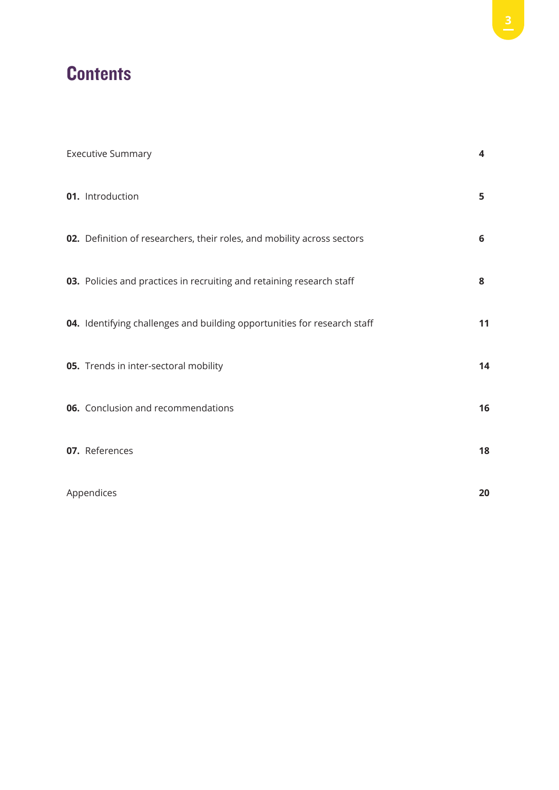## **Contents**

| <b>Executive Summary</b>                                                 | $\overline{\mathbf{4}}$ |
|--------------------------------------------------------------------------|-------------------------|
| 01. Introduction                                                         | 5                       |
| 02. Definition of researchers, their roles, and mobility across sectors  | 6                       |
| 03. Policies and practices in recruiting and retaining research staff    | 8                       |
| 04. Identifying challenges and building opportunities for research staff | 11                      |
| 05. Trends in inter-sectoral mobility                                    | 14                      |
| 06. Conclusion and recommendations                                       | 16                      |
| 07. References                                                           | 18                      |
| Appendices                                                               | 20                      |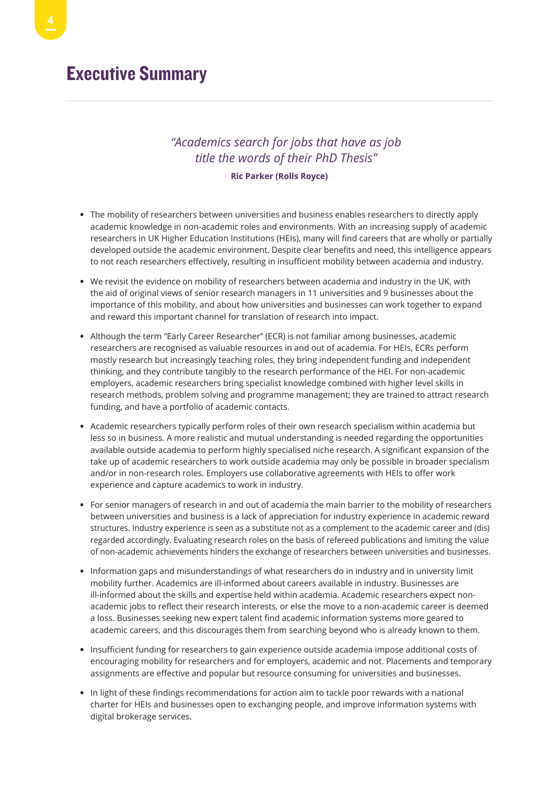## Executive Summary

## *"Academics search for jobs that have as job title the words of their PhD Thesis"*

#### **Ric Parker (Rolls Royce)**

- The mobility of researchers between universities and business enables researchers to directly apply academic knowledge in non-academic roles and environments. With an increasing supply of academic researchers in UK Higher Education Institutions (HEIs), many will find careers that are wholly or partially developed outside the academic environment. Despite clear benefits and need, this intelligence appears to not reach researchers effectively, resulting in insufficient mobility between academia and industry.
- We revisit the evidence on mobility of researchers between academia and industry in the UK, with the aid of original views of senior research managers in 11 universities and 9 businesses about the importance of this mobility, and about how universities and businesses can work together to expand and reward this important channel for translation of research into impact.
- Although the term "Early Career Researcher" (ECR) is not familiar among businesses, academic researchers are recognised as valuable resources in and out of academia. For HEIs, ECRs perform mostly research but increasingly teaching roles, they bring independent funding and independent thinking, and they contribute tangibly to the research performance of the HEI. For non-academic employers, academic researchers bring specialist knowledge combined with higher level skills in research methods, problem solving and programme management; they are trained to attract research funding, and have a portfolio of academic contacts.
- Academic researchers typically perform roles of their own research specialism within academia but less so in business. A more realistic and mutual understanding is needed regarding the opportunities available outside academia to perform highly specialised niche research. A significant expansion of the take up of academic researchers to work outside academia may only be possible in broader specialism and/or in non-research roles. Employers use collaborative agreements with HEIs to offer work experience and capture academics to work in industry.
- For senior managers of research in and out of academia the main barrier to the mobility of researchers between universities and business is a lack of appreciation for industry experience in academic reward structures. Industry experience is seen as a substitute not as a complement to the academic career and (dis) regarded accordingly. Evaluating research roles on the basis of refereed publications and limiting the value of non-academic achievements hinders the exchange of researchers between universities and businesses.
- Information gaps and misunderstandings of what researchers do in industry and in university limit mobility further. Academics are ill-informed about careers available in industry. Businesses are ill-informed about the skills and expertise held within academia. Academic researchers expect nonacademic jobs to reflect their research interests, or else the move to a non-academic career is deemed a loss. Businesses seeking new expert talent find academic information systems more geared to academic careers, and this discourages them from searching beyond who is already known to them.
- Insufficient funding for researchers to gain experience outside academia impose additional costs of encouraging mobility for researchers and for employers, academic and not. Placements and temporary assignments are effective and popular but resource consuming for universities and businesses.
- In light of these findings recommendations for action aim to tackle poor rewards with a national charter for HEIs and businesses open to exchanging people, and improve information systems with digital brokerage services.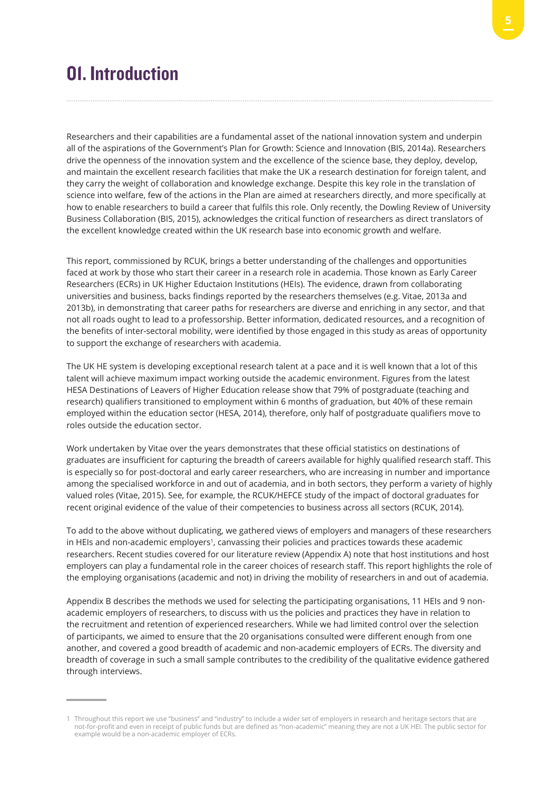## 01. Introduction

Researchers and their capabilities are a fundamental asset of the national innovation system and underpin all of the aspirations of the Government's Plan for Growth: Science and Innovation (BIS, 2014a). Researchers drive the openness of the innovation system and the excellence of the science base, they deploy, develop, and maintain the excellent research facilities that make the UK a research destination for foreign talent, and they carry the weight of collaboration and knowledge exchange. Despite this key role in the translation of science into welfare, few of the actions in the Plan are aimed at researchers directly, and more specifically at how to enable researchers to build a career that fulfils this role. Only recently, the Dowling Review of University Business Collaboration (BIS, 2015), acknowledges the critical function of researchers as direct translators of the excellent knowledge created within the UK research base into economic growth and welfare.

This report, commissioned by RCUK, brings a better understanding of the challenges and opportunities faced at work by those who start their career in a research role in academia. Those known as Early Career Researchers (ECRs) in UK Higher Eductaion Institutions (HEIs). The evidence, drawn from collaborating universities and business, backs findings reported by the researchers themselves (e.g. Vitae, 2013a and 2013b), in demonstrating that career paths for researchers are diverse and enriching in any sector, and that not all roads ought to lead to a professorship. Better information, dedicated resources, and a recognition of the benefits of inter-sectoral mobility, were identified by those engaged in this study as areas of opportunity to support the exchange of researchers with academia.

The UK HE system is developing exceptional research talent at a pace and it is well known that a lot of this talent will achieve maximum impact working outside the academic environment. Figures from the latest HESA Destinations of Leavers of Higher Education release show that 79% of postgraduate (teaching and research) qualifiers transitioned to employment within 6 months of graduation, but 40% of these remain employed within the education sector (HESA, 2014), therefore, only half of postgraduate qualifiers move to roles outside the education sector.

Work undertaken by Vitae over the years demonstrates that these official statistics on destinations of graduates are insufficient for capturing the breadth of careers available for highly qualified research staff. This is especially so for post-doctoral and early career researchers, who are increasing in number and importance among the specialised workforce in and out of academia, and in both sectors, they perform a variety of highly valued roles (Vitae, 2015). See, for example, the RCUK/HEFCE study of the impact of doctoral graduates for recent original evidence of the value of their competencies to business across all sectors (RCUK, 2014).

To add to the above without duplicating, we gathered views of employers and managers of these researchers in HEIs and non-academic employers<sup>1</sup>, canvassing their policies and practices towards these academic researchers. Recent studies covered for our literature review (Appendix A) note that host institutions and host employers can play a fundamental role in the career choices of research staff. This report highlights the role of the employing organisations (academic and not) in driving the mobility of researchers in and out of academia.

Appendix B describes the methods we used for selecting the participating organisations, 11 HEIs and 9 nonacademic employers of researchers, to discuss with us the policies and practices they have in relation to the recruitment and retention of experienced researchers. While we had limited control over the selection of participants, we aimed to ensure that the 20 organisations consulted were different enough from one another, and covered a good breadth of academic and non-academic employers of ECRs. The diversity and breadth of coverage in such a small sample contributes to the credibility of the qualitative evidence gathered through interviews.

<sup>1</sup> Throughout this report we use "business" and "industry" to include a wider set of employers in research and heritage sectors that are not-for-profit and even in receipt of public funds but are defined as "non-academic" meaning they are not a UK HEI. The public sector for example would be a non-academic employer of ECRs.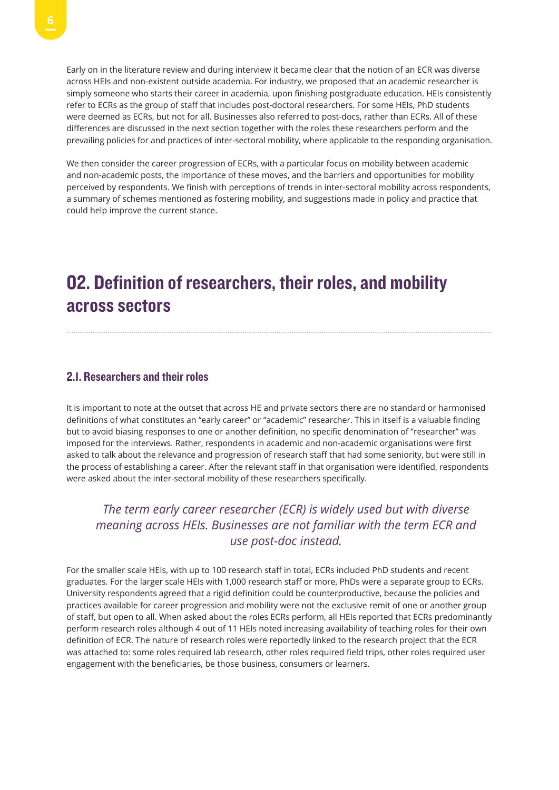Early on in the literature review and during interview it became clear that the notion of an ECR was diverse across HEIs and non-existent outside academia. For industry, we proposed that an academic researcher is simply someone who starts their career in academia, upon finishing postgraduate education. HEIs consistently refer to ECRs as the group of staff that includes post-doctoral researchers. For some HEIs, PhD students were deemed as ECRs, but not for all. Businesses also referred to post-docs, rather than ECRs. All of these differences are discussed in the next section together with the roles these researchers perform and the prevailing policies for and practices of inter-sectoral mobility, where applicable to the responding organisation.

We then consider the career progression of ECRs, with a particular focus on mobility between academic and non-academic posts, the importance of these moves, and the barriers and opportunities for mobility perceived by respondents. We finish with perceptions of trends in inter-sectoral mobility across respondents, a summary of schemes mentioned as fostering mobility, and suggestions made in policy and practice that could help improve the current stance.

## 02. Definition of researchers, their roles, and mobility across sectors

### 2.1. Researchers and their roles

It is important to note at the outset that across HE and private sectors there are no standard or harmonised definitions of what constitutes an "early career" or "academic" researcher. This in itself is a valuable finding but to avoid biasing responses to one or another definition, no specific denomination of "researcher" was imposed for the interviews. Rather, respondents in academic and non-academic organisations were first asked to talk about the relevance and progression of research staff that had some seniority, but were still in the process of establishing a career. After the relevant staff in that organisation were identified, respondents were asked about the inter-sectoral mobility of these researchers specifically.

## *The term early career researcher (ECR) is widely used but with diverse meaning across HEIs. Businesses are not familiar with the term ECR and use post-doc instead.*

For the smaller scale HEIs, with up to 100 research staff in total, ECRs included PhD students and recent graduates. For the larger scale HEIs with 1,000 research staff or more, PhDs were a separate group to ECRs. University respondents agreed that a rigid definition could be counterproductive, because the policies and practices available for career progression and mobility were not the exclusive remit of one or another group of staff, but open to all. When asked about the roles ECRs perform, all HEIs reported that ECRs predominantly perform research roles although 4 out of 11 HEIs noted increasing availability of teaching roles for their own definition of ECR. The nature of research roles were reportedly linked to the research project that the ECR was attached to: some roles required lab research, other roles required field trips, other roles required user engagement with the beneficiaries, be those business, consumers or learners.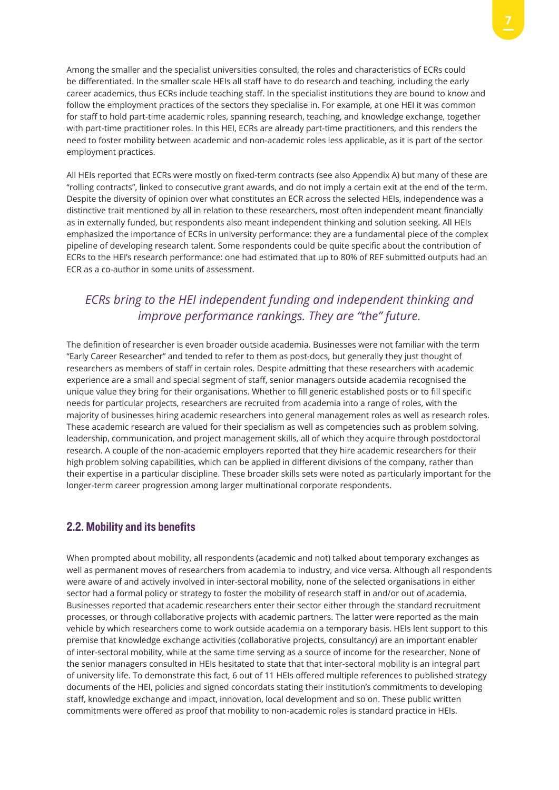Among the smaller and the specialist universities consulted, the roles and characteristics of ECRs could be differentiated. In the smaller scale HEIs all staff have to do research and teaching, including the early career academics, thus ECRs include teaching staff. In the specialist institutions they are bound to know and follow the employment practices of the sectors they specialise in. For example, at one HEI it was common for staff to hold part-time academic roles, spanning research, teaching, and knowledge exchange, together with part-time practitioner roles. In this HEI, ECRs are already part-time practitioners, and this renders the need to foster mobility between academic and non-academic roles less applicable, as it is part of the sector employment practices.

All HEIs reported that ECRs were mostly on fixed-term contracts (see also Appendix A) but many of these are "rolling contracts", linked to consecutive grant awards, and do not imply a certain exit at the end of the term. Despite the diversity of opinion over what constitutes an ECR across the selected HEIs, independence was a distinctive trait mentioned by all in relation to these researchers, most often independent meant financially as in externally funded, but respondents also meant independent thinking and solution seeking. All HEIs emphasized the importance of ECRs in university performance: they are a fundamental piece of the complex pipeline of developing research talent. Some respondents could be quite specific about the contribution of ECRs to the HEI's research performance: one had estimated that up to 80% of REF submitted outputs had an ECR as a co-author in some units of assessment.

## *ECRs bring to the HEI independent funding and independent thinking and improve performance rankings. They are "the" future.*

The definition of researcher is even broader outside academia. Businesses were not familiar with the term "Early Career Researcher" and tended to refer to them as post-docs, but generally they just thought of researchers as members of staff in certain roles. Despite admitting that these researchers with academic experience are a small and special segment of staff, senior managers outside academia recognised the unique value they bring for their organisations. Whether to fill generic established posts or to fill specific needs for particular projects, researchers are recruited from academia into a range of roles, with the majority of businesses hiring academic researchers into general management roles as well as research roles. These academic research are valued for their specialism as well as competencies such as problem solving, leadership, communication, and project management skills, all of which they acquire through postdoctoral research. A couple of the non-academic employers reported that they hire academic researchers for their high problem solving capabilities, which can be applied in different divisions of the company, rather than their expertise in a particular discipline. These broader skills sets were noted as particularly important for the longer-term career progression among larger multinational corporate respondents.

### 2.2. Mobility and its benefits

When prompted about mobility, all respondents (academic and not) talked about temporary exchanges as well as permanent moves of researchers from academia to industry, and vice versa. Although all respondents were aware of and actively involved in inter-sectoral mobility, none of the selected organisations in either sector had a formal policy or strategy to foster the mobility of research staff in and/or out of academia. Businesses reported that academic researchers enter their sector either through the standard recruitment processes, or through collaborative projects with academic partners. The latter were reported as the main vehicle by which researchers come to work outside academia on a temporary basis. HEIs lent support to this premise that knowledge exchange activities (collaborative projects, consultancy) are an important enabler of inter-sectoral mobility, while at the same time serving as a source of income for the researcher. None of the senior managers consulted in HEIs hesitated to state that that inter-sectoral mobility is an integral part of university life. To demonstrate this fact, 6 out of 11 HEIs offered multiple references to published strategy documents of the HEI, policies and signed concordats stating their institution's commitments to developing staff, knowledge exchange and impact, innovation, local development and so on. These public written commitments were offered as proof that mobility to non-academic roles is standard practice in HEIs.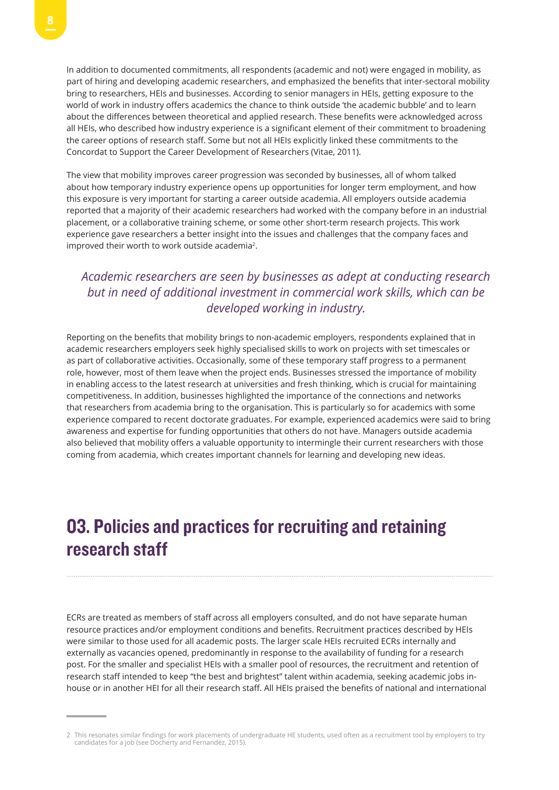In addition to documented commitments, all respondents (academic and not) were engaged in mobility, as part of hiring and developing academic researchers, and emphasized the benefits that inter-sectoral mobility bring to researchers, HEIs and businesses. According to senior managers in HEIs, getting exposure to the world of work in industry offers academics the chance to think outside 'the academic bubble' and to learn about the differences between theoretical and applied research. These benefits were acknowledged across all HEIs, who described how industry experience is a significant element of their commitment to broadening the career options of research staff. Some but not all HEIs explicitly linked these commitments to the Concordat to Support the Career Development of Researchers (Vitae, 2011).

The view that mobility improves career progression was seconded by businesses, all of whom talked about how temporary industry experience opens up opportunities for longer term employment, and how this exposure is very important for starting a career outside academia. All employers outside academia reported that a majority of their academic researchers had worked with the company before in an industrial placement, or a collaborative training scheme, or some other short-term research projects. This work experience gave researchers a better insight into the issues and challenges that the company faces and improved their worth to work outside academia2.

## *Academic researchers are seen by businesses as adept at conducting research but in need of additional investment in commercial work skills, which can be developed working in industry.*

Reporting on the benefits that mobility brings to non-academic employers, respondents explained that in academic researchers employers seek highly specialised skills to work on projects with set timescales or as part of collaborative activities. Occasionally, some of these temporary staff progress to a permanent role, however, most of them leave when the project ends. Businesses stressed the importance of mobility in enabling access to the latest research at universities and fresh thinking, which is crucial for maintaining competitiveness. In addition, businesses highlighted the importance of the connections and networks that researchers from academia bring to the organisation. This is particularly so for academics with some experience compared to recent doctorate graduates. For example, experienced academics were said to bring awareness and expertise for funding opportunities that others do not have. Managers outside academia also believed that mobility offers a valuable opportunity to intermingle their current researchers with those coming from academia, which creates important channels for learning and developing new ideas.

## 03. Policies and practices for recruiting and retaining research staff

ECRs are treated as members of staff across all employers consulted, and do not have separate human resource practices and/or employment conditions and benefits. Recruitment practices described by HEIs were similar to those used for all academic posts. The larger scale HEIs recruited ECRs internally and externally as vacancies opened, predominantly in response to the availability of funding for a research post. For the smaller and specialist HEIs with a smaller pool of resources, the recruitment and retention of research staff intended to keep "the best and brightest" talent within academia, seeking academic jobs inhouse or in another HEI for all their research staff. All HEIs praised the benefits of national and international

<sup>2</sup> This resonates similar findings for work placements of undergraduate HE students, used often as a recruitment tool by employers to try candidates for a job (see Docherty and Fernandez, 2015).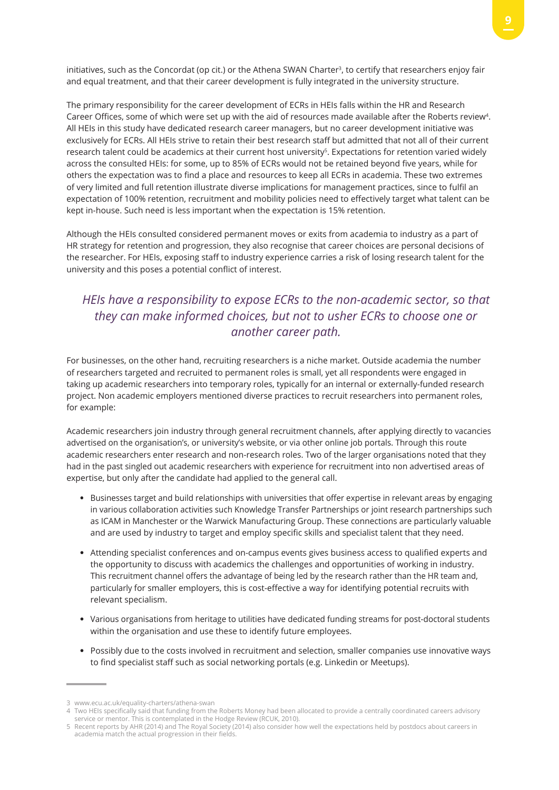initiatives, such as the Concordat (op cit.) or the Athena SWAN Charter3, to certify that researchers enjoy fair and equal treatment, and that their career development is fully integrated in the university structure.

The primary responsibility for the career development of ECRs in HEIs falls within the HR and Research Career Offices, some of which were set up with the aid of resources made available after the Roberts review4. All HEIs in this study have dedicated research career managers, but no career development initiative was exclusively for ECRs. All HEIs strive to retain their best research staff but admitted that not all of their current research talent could be academics at their current host university<sup>5</sup>. Expectations for retention varied widely across the consulted HEIs: for some, up to 85% of ECRs would not be retained beyond five years, while for others the expectation was to find a place and resources to keep all ECRs in academia. These two extremes of very limited and full retention illustrate diverse implications for management practices, since to fulfil an expectation of 100% retention, recruitment and mobility policies need to effectively target what talent can be kept in-house. Such need is less important when the expectation is 15% retention.

Although the HEIs consulted considered permanent moves or exits from academia to industry as a part of HR strategy for retention and progression, they also recognise that career choices are personal decisions of the researcher. For HEIs, exposing staff to industry experience carries a risk of losing research talent for the university and this poses a potential conflict of interest.

## *HEIs have a responsibility to expose ECRs to the non-academic sector, so that they can make informed choices, but not to usher ECRs to choose one or another career path.*

For businesses, on the other hand, recruiting researchers is a niche market. Outside academia the number of researchers targeted and recruited to permanent roles is small, yet all respondents were engaged in taking up academic researchers into temporary roles, typically for an internal or externally-funded research project. Non academic employers mentioned diverse practices to recruit researchers into permanent roles, for example:

Academic researchers join industry through general recruitment channels, after applying directly to vacancies advertised on the organisation's, or university's website, or via other online job portals. Through this route academic researchers enter research and non-research roles. Two of the larger organisations noted that they had in the past singled out academic researchers with experience for recruitment into non advertised areas of expertise, but only after the candidate had applied to the general call.

- Businesses target and build relationships with universities that offer expertise in relevant areas by engaging in various collaboration activities such Knowledge Transfer Partnerships or joint research partnerships such as ICAM in Manchester or the Warwick Manufacturing Group. These connections are particularly valuable and are used by industry to target and employ specific skills and specialist talent that they need.
- Attending specialist conferences and on-campus events gives business access to qualified experts and the opportunity to discuss with academics the challenges and opportunities of working in industry. This recruitment channel offers the advantage of being led by the research rather than the HR team and, particularly for smaller employers, this is cost-effective a way for identifying potential recruits with relevant specialism.
- Various organisations from heritage to utilities have dedicated funding streams for post-doctoral students within the organisation and use these to identify future employees.
- Possibly due to the costs involved in recruitment and selection, smaller companies use innovative ways to find specialist staff such as social networking portals (e.g. Linkedin or Meetups).

<sup>3</sup> www.ecu.ac.uk/equality-charters/athena-swan

<sup>4</sup> Two HEIs specifically said that funding from the Roberts Money had been allocated to provide a centrally coordinated careers advisory service or mentor. This is contemplated in the Hodge Review (RCUK, 2010).

<sup>5</sup> Recent reports by AHR (2014) and The Royal Society (2014) also consider how well the expectations held by postdocs about careers in academia match the actual progression in their fields.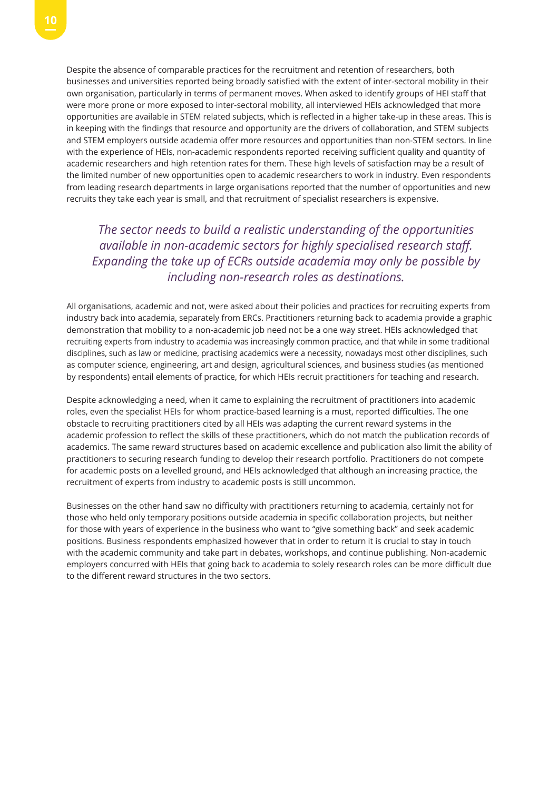Despite the absence of comparable practices for the recruitment and retention of researchers, both businesses and universities reported being broadly satisfied with the extent of inter-sectoral mobility in their own organisation, particularly in terms of permanent moves. When asked to identify groups of HEI staff that were more prone or more exposed to inter-sectoral mobility, all interviewed HEIs acknowledged that more opportunities are available in STEM related subjects, which is reflected in a higher take-up in these areas. This is in keeping with the findings that resource and opportunity are the drivers of collaboration, and STEM subjects and STEM employers outside academia offer more resources and opportunities than non-STEM sectors. In line with the experience of HEIs, non-academic respondents reported receiving sufficient quality and quantity of academic researchers and high retention rates for them. These high levels of satisfaction may be a result of the limited number of new opportunities open to academic researchers to work in industry. Even respondents from leading research departments in large organisations reported that the number of opportunities and new recruits they take each year is small, and that recruitment of specialist researchers is expensive.

*The sector needs to build a realistic understanding of the opportunities available in non-academic sectors for highly specialised research staff. Expanding the take up of ECRs outside academia may only be possible by including non-research roles as destinations.*

All organisations, academic and not, were asked about their policies and practices for recruiting experts from industry back into academia, separately from ERCs. Practitioners returning back to academia provide a graphic demonstration that mobility to a non-academic job need not be a one way street. HEIs acknowledged that recruiting experts from industry to academia was increasingly common practice, and that while in some traditional disciplines, such as law or medicine, practising academics were a necessity, nowadays most other disciplines, such as computer science, engineering, art and design, agricultural sciences, and business studies (as mentioned by respondents) entail elements of practice, for which HEIs recruit practitioners for teaching and research.

Despite acknowledging a need, when it came to explaining the recruitment of practitioners into academic roles, even the specialist HEIs for whom practice-based learning is a must, reported difficulties. The one obstacle to recruiting practitioners cited by all HEIs was adapting the current reward systems in the academic profession to reflect the skills of these practitioners, which do not match the publication records of academics. The same reward structures based on academic excellence and publication also limit the ability of practitioners to securing research funding to develop their research portfolio. Practitioners do not compete for academic posts on a levelled ground, and HEIs acknowledged that although an increasing practice, the recruitment of experts from industry to academic posts is still uncommon.

Businesses on the other hand saw no difficulty with practitioners returning to academia, certainly not for those who held only temporary positions outside academia in specific collaboration projects, but neither for those with years of experience in the business who want to "give something back" and seek academic positions. Business respondents emphasized however that in order to return it is crucial to stay in touch with the academic community and take part in debates, workshops, and continue publishing. Non-academic employers concurred with HEIs that going back to academia to solely research roles can be more difficult due to the different reward structures in the two sectors.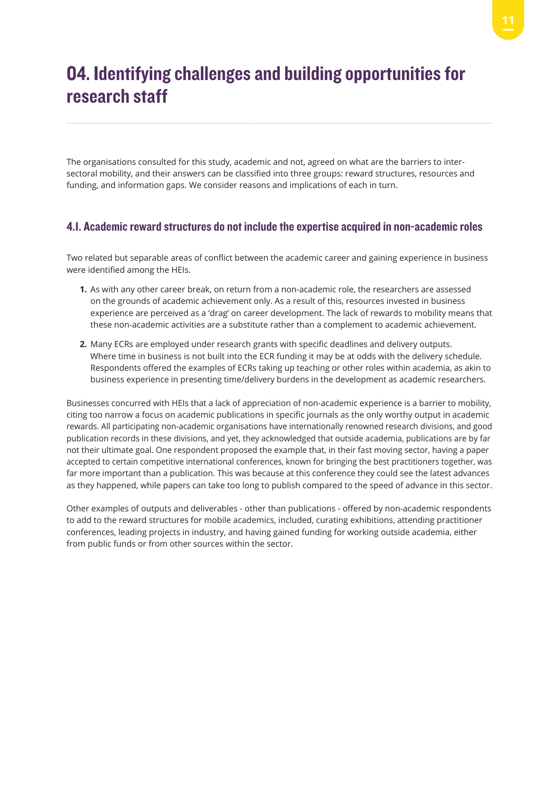## 04. Identifying challenges and building opportunities for research staff

The organisations consulted for this study, academic and not, agreed on what are the barriers to intersectoral mobility, and their answers can be classified into three groups: reward structures, resources and funding, and information gaps. We consider reasons and implications of each in turn.

### 4.1. Academic reward structures do not include the expertise acquired in non-academic roles

Two related but separable areas of conflict between the academic career and gaining experience in business were identified among the HEIs.

- **1.** As with any other career break, on return from a non-academic role, the researchers are assessed on the grounds of academic achievement only. As a result of this, resources invested in business experience are perceived as a 'drag' on career development. The lack of rewards to mobility means that these non-academic activities are a substitute rather than a complement to academic achievement.
- **2.** Many ECRs are employed under research grants with specific deadlines and delivery outputs. Where time in business is not built into the ECR funding it may be at odds with the delivery schedule. Respondents offered the examples of ECRs taking up teaching or other roles within academia, as akin to business experience in presenting time/delivery burdens in the development as academic researchers.

Businesses concurred with HEIs that a lack of appreciation of non-academic experience is a barrier to mobility, citing too narrow a focus on academic publications in specific journals as the only worthy output in academic rewards. All participating non-academic organisations have internationally renowned research divisions, and good publication records in these divisions, and yet, they acknowledged that outside academia, publications are by far not their ultimate goal. One respondent proposed the example that, in their fast moving sector, having a paper accepted to certain competitive international conferences, known for bringing the best practitioners together, was far more important than a publication. This was because at this conference they could see the latest advances as they happened, while papers can take too long to publish compared to the speed of advance in this sector.

Other examples of outputs and deliverables - other than publications - offered by non-academic respondents to add to the reward structures for mobile academics, included, curating exhibitions, attending practitioner conferences, leading projects in industry, and having gained funding for working outside academia, either from public funds or from other sources within the sector.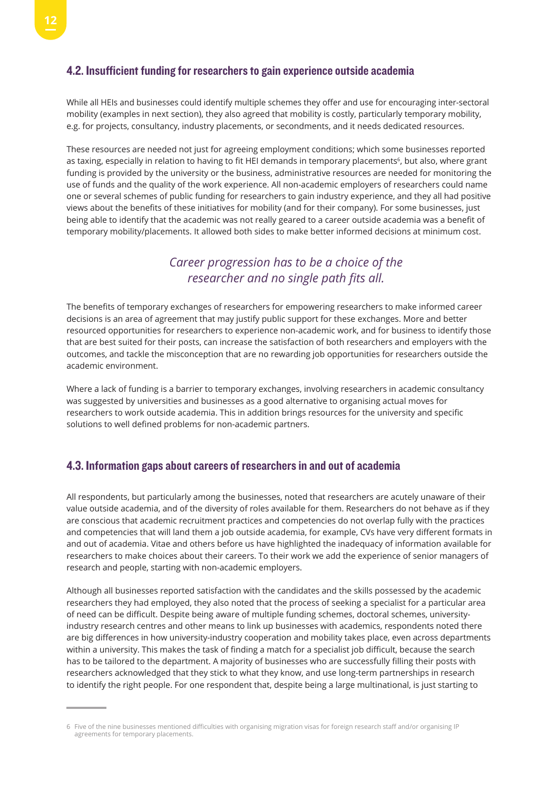#### 4.2. Insufficient funding for researchers to gain experience outside academia

While all HEIs and businesses could identify multiple schemes they offer and use for encouraging inter-sectoral mobility (examples in next section), they also agreed that mobility is costly, particularly temporary mobility, e.g. for projects, consultancy, industry placements, or secondments, and it needs dedicated resources.

These resources are needed not just for agreeing employment conditions; which some businesses reported as taxing, especially in relation to having to fit HEI demands in temporary placements<sup>6</sup>, but also, where grant funding is provided by the university or the business, administrative resources are needed for monitoring the use of funds and the quality of the work experience. All non-academic employers of researchers could name one or several schemes of public funding for researchers to gain industry experience, and they all had positive views about the benefits of these initiatives for mobility (and for their company). For some businesses, just being able to identify that the academic was not really geared to a career outside academia was a benefit of temporary mobility/placements. It allowed both sides to make better informed decisions at minimum cost.

## *Career progression has to be a choice of the researcher and no single path fits all.*

The benefits of temporary exchanges of researchers for empowering researchers to make informed career decisions is an area of agreement that may justify public support for these exchanges. More and better resourced opportunities for researchers to experience non-academic work, and for business to identify those that are best suited for their posts, can increase the satisfaction of both researchers and employers with the outcomes, and tackle the misconception that are no rewarding job opportunities for researchers outside the academic environment.

Where a lack of funding is a barrier to temporary exchanges, involving researchers in academic consultancy was suggested by universities and businesses as a good alternative to organising actual moves for researchers to work outside academia. This in addition brings resources for the university and specific solutions to well defined problems for non-academic partners.

### 4.3. Information gaps about careers of researchers in and out of academia

All respondents, but particularly among the businesses, noted that researchers are acutely unaware of their value outside academia, and of the diversity of roles available for them. Researchers do not behave as if they are conscious that academic recruitment practices and competencies do not overlap fully with the practices and competencies that will land them a job outside academia, for example, CVs have very different formats in and out of academia. Vitae and others before us have highlighted the inadequacy of information available for researchers to make choices about their careers. To their work we add the experience of senior managers of research and people, starting with non-academic employers.

Although all businesses reported satisfaction with the candidates and the skills possessed by the academic researchers they had employed, they also noted that the process of seeking a specialist for a particular area of need can be difficult. Despite being aware of multiple funding schemes, doctoral schemes, universityindustry research centres and other means to link up businesses with academics, respondents noted there are big differences in how university-industry cooperation and mobility takes place, even across departments within a university. This makes the task of finding a match for a specialist job difficult, because the search has to be tailored to the department. A majority of businesses who are successfully filling their posts with researchers acknowledged that they stick to what they know, and use long-term partnerships in research to identify the right people. For one respondent that, despite being a large multinational, is just starting to

<sup>6</sup> Five of the nine businesses mentioned difficulties with organising migration visas for foreign research staff and/or organising IP agreements for temporary placements.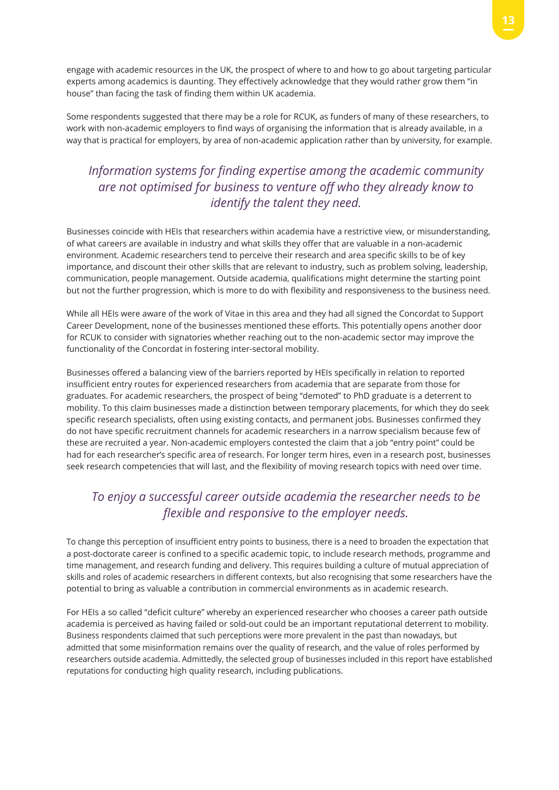engage with academic resources in the UK, the prospect of where to and how to go about targeting particular experts among academics is daunting. They effectively acknowledge that they would rather grow them "in house" than facing the task of finding them within UK academia.

Some respondents suggested that there may be a role for RCUK, as funders of many of these researchers, to work with non-academic employers to find ways of organising the information that is already available, in a way that is practical for employers, by area of non-academic application rather than by university, for example.

## *Information systems for finding expertise among the academic community are not optimised for business to venture off who they already know to identify the talent they need.*

Businesses coincide with HEIs that researchers within academia have a restrictive view, or misunderstanding, of what careers are available in industry and what skills they offer that are valuable in a non-academic environment. Academic researchers tend to perceive their research and area specific skills to be of key importance, and discount their other skills that are relevant to industry, such as problem solving, leadership, communication, people management. Outside academia, qualifications might determine the starting point but not the further progression, which is more to do with flexibility and responsiveness to the business need.

While all HEIs were aware of the work of Vitae in this area and they had all signed the Concordat to Support Career Development, none of the businesses mentioned these efforts. This potentially opens another door for RCUK to consider with signatories whether reaching out to the non-academic sector may improve the functionality of the Concordat in fostering inter-sectoral mobility.

Businesses offered a balancing view of the barriers reported by HEIs specifically in relation to reported insufficient entry routes for experienced researchers from academia that are separate from those for graduates. For academic researchers, the prospect of being "demoted" to PhD graduate is a deterrent to mobility. To this claim businesses made a distinction between temporary placements, for which they do seek specific research specialists, often using existing contacts, and permanent jobs. Businesses confirmed they do not have specific recruitment channels for academic researchers in a narrow specialism because few of these are recruited a year. Non-academic employers contested the claim that a job "entry point" could be had for each researcher's specific area of research. For longer term hires, even in a research post, businesses seek research competencies that will last, and the flexibility of moving research topics with need over time.

## *To enjoy a successful career outside academia the researcher needs to be flexible and responsive to the employer needs.*

To change this perception of insufficient entry points to business, there is a need to broaden the expectation that a post-doctorate career is confined to a specific academic topic, to include research methods, programme and time management, and research funding and delivery. This requires building a culture of mutual appreciation of skills and roles of academic researchers in different contexts, but also recognising that some researchers have the potential to bring as valuable a contribution in commercial environments as in academic research.

For HEIs a so called "deficit culture" whereby an experienced researcher who chooses a career path outside academia is perceived as having failed or sold-out could be an important reputational deterrent to mobility. Business respondents claimed that such perceptions were more prevalent in the past than nowadays, but admitted that some misinformation remains over the quality of research, and the value of roles performed by researchers outside academia. Admittedly, the selected group of businesses included in this report have established reputations for conducting high quality research, including publications.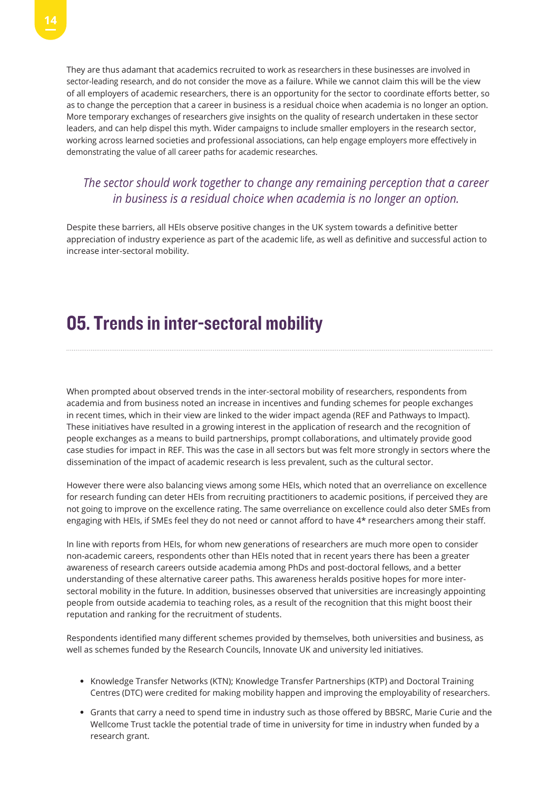They are thus adamant that academics recruited to work as researchers in these businesses are involved in sector-leading research, and do not consider the move as a failure. While we cannot claim this will be the view of all employers of academic researchers, there is an opportunity for the sector to coordinate efforts better, so as to change the perception that a career in business is a residual choice when academia is no longer an option. More temporary exchanges of researchers give insights on the quality of research undertaken in these sector leaders, and can help dispel this myth. Wider campaigns to include smaller employers in the research sector, working across learned societies and professional associations, can help engage employers more effectively in demonstrating the value of all career paths for academic researches.

### *The sector should work together to change any remaining perception that a career in business is a residual choice when academia is no longer an option.*

Despite these barriers, all HEIs observe positive changes in the UK system towards a definitive better appreciation of industry experience as part of the academic life, as well as definitive and successful action to increase inter-sectoral mobility.

## 05. Trends in inter-sectoral mobility

When prompted about observed trends in the inter-sectoral mobility of researchers, respondents from academia and from business noted an increase in incentives and funding schemes for people exchanges in recent times, which in their view are linked to the wider impact agenda (REF and Pathways to Impact). These initiatives have resulted in a growing interest in the application of research and the recognition of people exchanges as a means to build partnerships, prompt collaborations, and ultimately provide good case studies for impact in REF. This was the case in all sectors but was felt more strongly in sectors where the dissemination of the impact of academic research is less prevalent, such as the cultural sector.

However there were also balancing views among some HEIs, which noted that an overreliance on excellence for research funding can deter HEIs from recruiting practitioners to academic positions, if perceived they are not going to improve on the excellence rating. The same overreliance on excellence could also deter SMEs from engaging with HEIs, if SMEs feel they do not need or cannot afford to have 4\* researchers among their staff.

In line with reports from HEIs, for whom new generations of researchers are much more open to consider non-academic careers, respondents other than HEIs noted that in recent years there has been a greater awareness of research careers outside academia among PhDs and post-doctoral fellows, and a better understanding of these alternative career paths. This awareness heralds positive hopes for more intersectoral mobility in the future. In addition, businesses observed that universities are increasingly appointing people from outside academia to teaching roles, as a result of the recognition that this might boost their reputation and ranking for the recruitment of students.

Respondents identified many different schemes provided by themselves, both universities and business, as well as schemes funded by the Research Councils, Innovate UK and university led initiatives.

- Knowledge Transfer Networks (KTN); Knowledge Transfer Partnerships (KTP) and Doctoral Training Centres (DTC) were credited for making mobility happen and improving the employability of researchers.
- Grants that carry a need to spend time in industry such as those offered by BBSRC, Marie Curie and the Wellcome Trust tackle the potential trade of time in university for time in industry when funded by a research grant.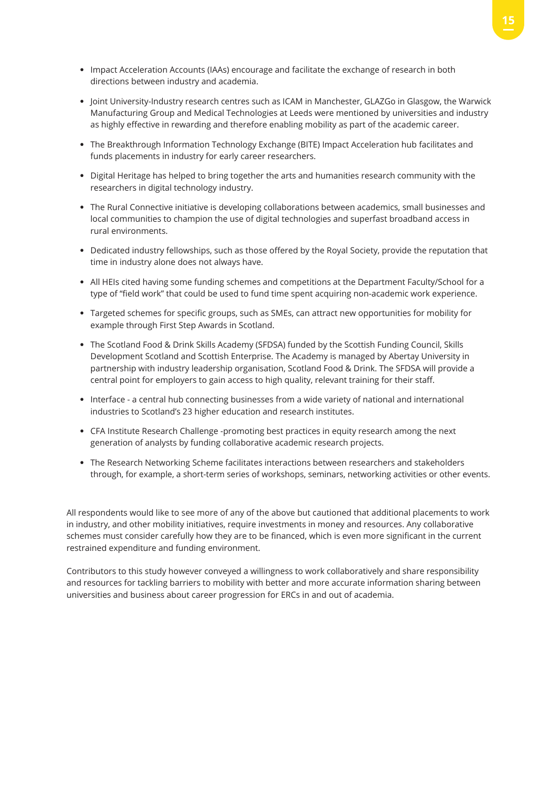- Impact Acceleration Accounts (IAAs) encourage and facilitate the exchange of research in both directions between industry and academia.
- Joint University-Industry research centres such as ICAM in Manchester, GLAZGo in Glasgow, the Warwick Manufacturing Group and Medical Technologies at Leeds were mentioned by universities and industry as highly effective in rewarding and therefore enabling mobility as part of the academic career.
- The Breakthrough Information Technology Exchange (BITE) Impact Acceleration hub facilitates and funds placements in industry for early career researchers.
- Digital Heritage has helped to bring together the arts and humanities research community with the researchers in digital technology industry.
- The Rural Connective initiative is developing collaborations between academics, small businesses and local communities to champion the use of digital technologies and superfast broadband access in rural environments.
- Dedicated industry fellowships, such as those offered by the Royal Society, provide the reputation that time in industry alone does not always have.
- All HEIs cited having some funding schemes and competitions at the Department Faculty/School for a type of "field work" that could be used to fund time spent acquiring non-academic work experience.
- Targeted schemes for specific groups, such as SMEs, can attract new opportunities for mobility for example through First Step Awards in Scotland.
- The Scotland Food & Drink Skills Academy (SFDSA) funded by the Scottish Funding Council, Skills Development Scotland and Scottish Enterprise. The Academy is managed by Abertay University in partnership with industry leadership organisation, Scotland Food & Drink. The SFDSA will provide a central point for employers to gain access to high quality, relevant training for their staff.
- Interface a central hub connecting businesses from a wide variety of national and international industries to Scotland's 23 higher education and research institutes.
- CFA Institute Research Challenge -promoting best practices in equity research among the next generation of analysts by funding collaborative academic research projects.
- The Research Networking Scheme facilitates interactions between researchers and stakeholders through, for example, a short-term series of workshops, seminars, networking activities or other events.

All respondents would like to see more of any of the above but cautioned that additional placements to work in industry, and other mobility initiatives, require investments in money and resources. Any collaborative schemes must consider carefully how they are to be financed, which is even more significant in the current restrained expenditure and funding environment.

Contributors to this study however conveyed a willingness to work collaboratively and share responsibility and resources for tackling barriers to mobility with better and more accurate information sharing between universities and business about career progression for ERCs in and out of academia.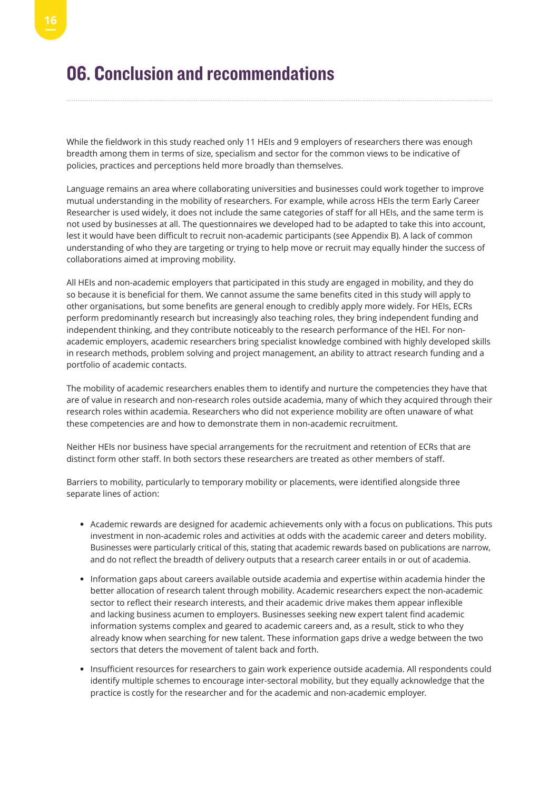## 06. Conclusion and recommendations

While the fieldwork in this study reached only 11 HEIs and 9 employers of researchers there was enough breadth among them in terms of size, specialism and sector for the common views to be indicative of policies, practices and perceptions held more broadly than themselves.

Language remains an area where collaborating universities and businesses could work together to improve mutual understanding in the mobility of researchers. For example, while across HEIs the term Early Career Researcher is used widely, it does not include the same categories of staff for all HEIs, and the same term is not used by businesses at all. The questionnaires we developed had to be adapted to take this into account, lest it would have been difficult to recruit non-academic participants (see Appendix B). A lack of common understanding of who they are targeting or trying to help move or recruit may equally hinder the success of collaborations aimed at improving mobility.

All HEIs and non-academic employers that participated in this study are engaged in mobility, and they do so because it is beneficial for them. We cannot assume the same benefits cited in this study will apply to other organisations, but some benefits are general enough to credibly apply more widely. For HEIs, ECRs perform predominantly research but increasingly also teaching roles, they bring independent funding and independent thinking, and they contribute noticeably to the research performance of the HEI. For nonacademic employers, academic researchers bring specialist knowledge combined with highly developed skills in research methods, problem solving and project management, an ability to attract research funding and a portfolio of academic contacts.

The mobility of academic researchers enables them to identify and nurture the competencies they have that are of value in research and non-research roles outside academia, many of which they acquired through their research roles within academia. Researchers who did not experience mobility are often unaware of what these competencies are and how to demonstrate them in non-academic recruitment.

Neither HEIs nor business have special arrangements for the recruitment and retention of ECRs that are distinct form other staff. In both sectors these researchers are treated as other members of staff.

Barriers to mobility, particularly to temporary mobility or placements, were identified alongside three separate lines of action:

- Academic rewards are designed for academic achievements only with a focus on publications. This puts investment in non-academic roles and activities at odds with the academic career and deters mobility. Businesses were particularly critical of this, stating that academic rewards based on publications are narrow, and do not reflect the breadth of delivery outputs that a research career entails in or out of academia.
- Information gaps about careers available outside academia and expertise within academia hinder the better allocation of research talent through mobility. Academic researchers expect the non-academic sector to reflect their research interests, and their academic drive makes them appear inflexible and lacking business acumen to employers. Businesses seeking new expert talent find academic information systems complex and geared to academic careers and, as a result, stick to who they already know when searching for new talent. These information gaps drive a wedge between the two sectors that deters the movement of talent back and forth.
- Insufficient resources for researchers to gain work experience outside academia. All respondents could identify multiple schemes to encourage inter-sectoral mobility, but they equally acknowledge that the practice is costly for the researcher and for the academic and non-academic employer.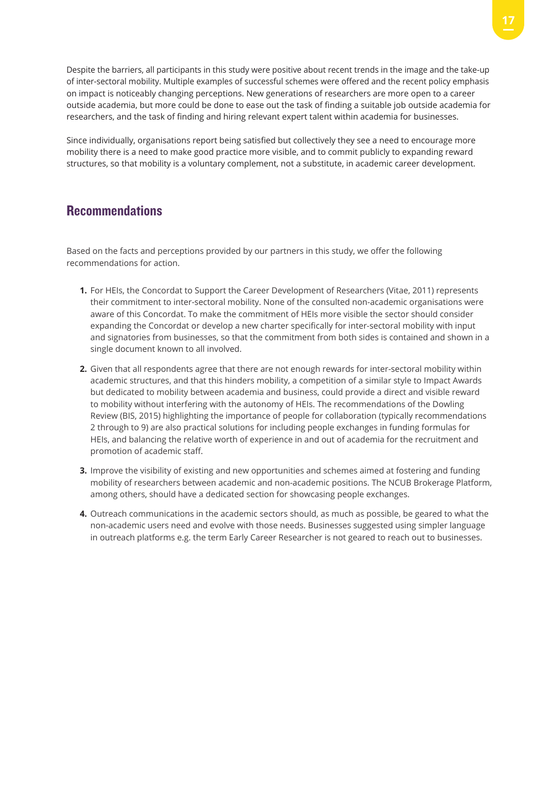Despite the barriers, all participants in this study were positive about recent trends in the image and the take-up of inter-sectoral mobility. Multiple examples of successful schemes were offered and the recent policy emphasis on impact is noticeably changing perceptions. New generations of researchers are more open to a career outside academia, but more could be done to ease out the task of finding a suitable job outside academia for researchers, and the task of finding and hiring relevant expert talent within academia for businesses.

Since individually, organisations report being satisfied but collectively they see a need to encourage more mobility there is a need to make good practice more visible, and to commit publicly to expanding reward structures, so that mobility is a voluntary complement, not a substitute, in academic career development.

### **Recommendations**

Based on the facts and perceptions provided by our partners in this study, we offer the following recommendations for action.

- **1.** For HEIs, the Concordat to Support the Career Development of Researchers (Vitae, 2011) represents their commitment to inter-sectoral mobility. None of the consulted non-academic organisations were aware of this Concordat. To make the commitment of HEIs more visible the sector should consider expanding the Concordat or develop a new charter specifically for inter-sectoral mobility with input and signatories from businesses, so that the commitment from both sides is contained and shown in a single document known to all involved.
- **2.** Given that all respondents agree that there are not enough rewards for inter-sectoral mobility within academic structures, and that this hinders mobility, a competition of a similar style to Impact Awards but dedicated to mobility between academia and business, could provide a direct and visible reward to mobility without interfering with the autonomy of HEIs. The recommendations of the Dowling Review (BIS, 2015) highlighting the importance of people for collaboration (typically recommendations 2 through to 9) are also practical solutions for including people exchanges in funding formulas for HEIs, and balancing the relative worth of experience in and out of academia for the recruitment and promotion of academic staff.
- **3.** Improve the visibility of existing and new opportunities and schemes aimed at fostering and funding mobility of researchers between academic and non-academic positions. The NCUB Brokerage Platform, among others, should have a dedicated section for showcasing people exchanges.
- **4.** Outreach communications in the academic sectors should, as much as possible, be geared to what the non-academic users need and evolve with those needs. Businesses suggested using simpler language in outreach platforms e.g. the term Early Career Researcher is not geared to reach out to businesses.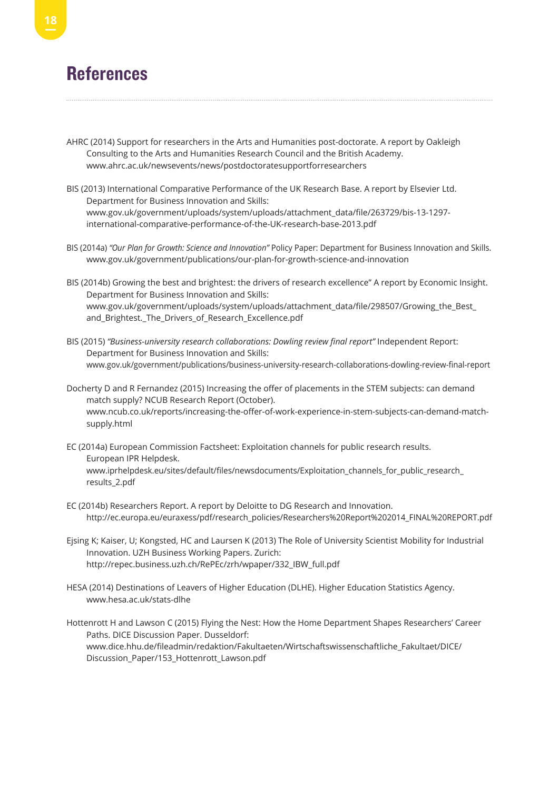## **References**

- AHRC (2014) Support for researchers in the Arts and Humanities post-doctorate. A report by Oakleigh Consulting to the Arts and Humanities Research Council and the British Academy. www.ahrc.ac.uk/newsevents/news/postdoctoratesupportforresearchers
- BIS (2013) International Comparative Performance of the UK Research Base. A report by Elsevier Ltd. Department for Business Innovation and Skills: www.gov.uk/government/uploads/system/uploads/attachment\_data/file/263729/bis-13-1297 international-comparative-performance-of-the-UK-research-base-2013.pdf
- BIS (2014a) *"Our Plan for Growth: Science and Innovation"* Policy Paper: Department for Business Innovation and Skills. www.gov.uk/government/publications/our-plan-for-growth-science-and-innovation
- BIS (2014b) Growing the best and brightest: the drivers of research excellence" A report by Economic Insight. Department for Business Innovation and Skills: www.gov.uk/government/uploads/system/uploads/attachment\_data/file/298507/Growing\_the\_Best\_ and Brightest. The Drivers of Research Excellence.pdf
- BIS (2015) *"Business-university research collaborations: Dowling review final report"* Independent Report: Department for Business Innovation and Skills: www.gov.uk/government/publications/business-university-research-collaborations-dowling-review-final-report
- Docherty D and R Fernandez (2015) Increasing the offer of placements in the STEM subjects: can demand match supply? NCUB Research Report (October). www.ncub.co.uk/reports/increasing-the-offer-of-work-experience-in-stem-subjects-can-demand-matchsupply.html
- EC (2014a) European Commission Factsheet: Exploitation channels for public research results. European IPR Helpdesk. www.iprhelpdesk.eu/sites/default/files/newsdocuments/Exploitation\_channels\_for\_public\_research\_ results\_2.pdf
- EC (2014b) Researchers Report. A report by Deloitte to DG Research and Innovation. http://ec.europa.eu/euraxess/pdf/research\_policies/Researchers%20Report%202014\_FINAL%20REPORT.pdf
- Ejsing K; Kaiser, U; Kongsted, HC and Laursen K (2013) The Role of University Scientist Mobility for Industrial Innovation. UZH Business Working Papers. Zurich: http://repec.business.uzh.ch/RePEc/zrh/wpaper/332\_IBW\_full.pdf
- HESA (2014) Destinations of Leavers of Higher Education (DLHE). Higher Education Statistics Agency. www.hesa.ac.uk/stats-dlhe
- Hottenrott H and Lawson C (2015) Flying the Nest: How the Home Department Shapes Researchers' Career Paths. DICE Discussion Paper. Dusseldorf: www.dice.hhu.de/fileadmin/redaktion/Fakultaeten/Wirtschaftswissenschaftliche\_Fakultaet/DICE/ Discussion\_Paper/153\_Hottenrott\_Lawson.pdf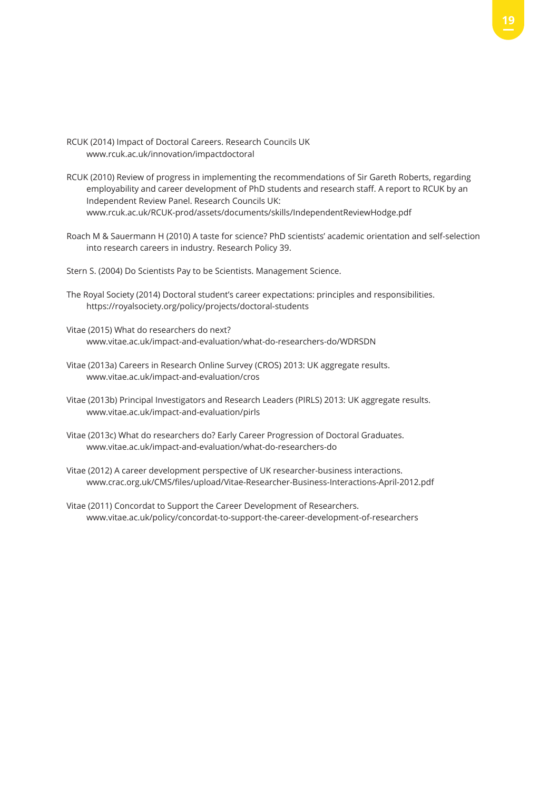- RCUK (2014) Impact of Doctoral Careers. Research Councils UK www.rcuk.ac.uk/innovation/impactdoctoral
- RCUK (2010) Review of progress in implementing the recommendations of Sir Gareth Roberts, regarding employability and career development of PhD students and research staff. A report to RCUK by an Independent Review Panel. Research Councils UK: www.rcuk.ac.uk/RCUK-prod/assets/documents/skills/IndependentReviewHodge.pdf
- Roach M & Sauermann H (2010) A taste for science? PhD scientists' academic orientation and self-selection into research careers in industry. Research Policy 39.
- Stern S. (2004) Do Scientists Pay to be Scientists. Management Science.
- The Royal Society (2014) Doctoral student's career expectations: principles and responsibilities. https://royalsociety.org/policy/projects/doctoral-students
- Vitae (2015) What do researchers do next? www.vitae.ac.uk/impact-and-evaluation/what-do-researchers-do/WDRSDN
- Vitae (2013a) Careers in Research Online Survey (CROS) 2013: UK aggregate results. www.vitae.ac.uk/impact-and-evaluation/cros
- Vitae (2013b) Principal Investigators and Research Leaders (PIRLS) 2013: UK aggregate results. www.vitae.ac.uk/impact-and-evaluation/pirls
- Vitae (2013c) What do researchers do? Early Career Progression of Doctoral Graduates. www.vitae.ac.uk/impact-and-evaluation/what-do-researchers-do
- Vitae (2012) A career development perspective of UK researcher-business interactions. www.crac.org.uk/CMS/files/upload/Vitae-Researcher-Business-Interactions-April-2012.pdf
- Vitae (2011) Concordat to Support the Career Development of Researchers. www.vitae.ac.uk/policy/concordat-to-support-the-career-development-of-researchers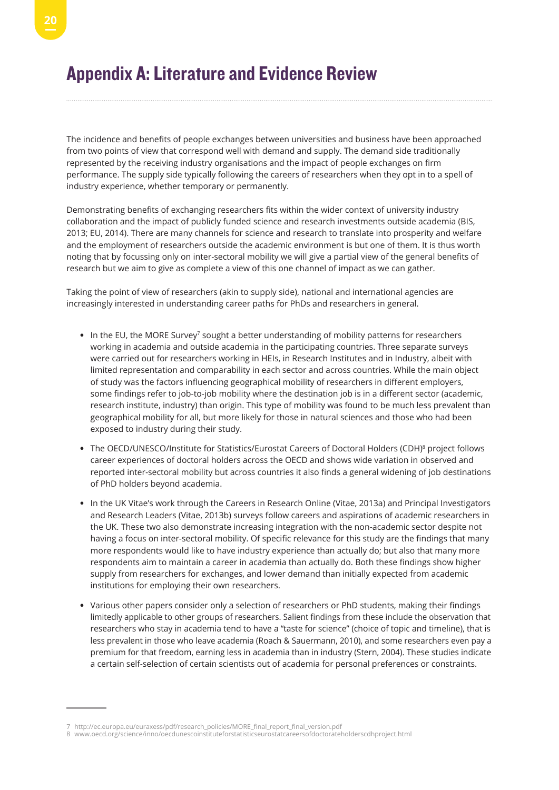## Appendix A: Literature and Evidence Review

The incidence and benefits of people exchanges between universities and business have been approached from two points of view that correspond well with demand and supply. The demand side traditionally represented by the receiving industry organisations and the impact of people exchanges on firm performance. The supply side typically following the careers of researchers when they opt in to a spell of industry experience, whether temporary or permanently.

Demonstrating benefits of exchanging researchers fits within the wider context of university industry collaboration and the impact of publicly funded science and research investments outside academia (BIS, 2013; EU, 2014). There are many channels for science and research to translate into prosperity and welfare and the employment of researchers outside the academic environment is but one of them. It is thus worth noting that by focussing only on inter-sectoral mobility we will give a partial view of the general benefits of research but we aim to give as complete a view of this one channel of impact as we can gather.

Taking the point of view of researchers (akin to supply side), national and international agencies are increasingly interested in understanding career paths for PhDs and researchers in general.

- In the EU, the MORE Survey<sup>7</sup> sought a better understanding of mobility patterns for researchers working in academia and outside academia in the participating countries. Three separate surveys were carried out for researchers working in HEIs, in Research Institutes and in Industry, albeit with limited representation and comparability in each sector and across countries. While the main object of study was the factors influencing geographical mobility of researchers in different employers, some findings refer to job-to-job mobility where the destination job is in a different sector (academic, research institute, industry) than origin. This type of mobility was found to be much less prevalent than geographical mobility for all, but more likely for those in natural sciences and those who had been exposed to industry during their study.
- The OECD/UNESCO/Institute for Statistics/Eurostat Careers of Doctoral Holders (CDH)<sup>8</sup> project follows career experiences of doctoral holders across the OECD and shows wide variation in observed and reported inter-sectoral mobility but across countries it also finds a general widening of job destinations of PhD holders beyond academia.
- In the UK Vitae's work through the Careers in Research Online (Vitae, 2013a) and Principal Investigators and Research Leaders (Vitae, 2013b) surveys follow careers and aspirations of academic researchers in the UK. These two also demonstrate increasing integration with the non-academic sector despite not having a focus on inter-sectoral mobility. Of specific relevance for this study are the findings that many more respondents would like to have industry experience than actually do; but also that many more respondents aim to maintain a career in academia than actually do. Both these findings show higher supply from researchers for exchanges, and lower demand than initially expected from academic institutions for employing their own researchers.
- Various other papers consider only a selection of researchers or PhD students, making their findings limitedly applicable to other groups of researchers. Salient findings from these include the observation that researchers who stay in academia tend to have a "taste for science" (choice of topic and timeline), that is less prevalent in those who leave academia (Roach & Sauermann, 2010), and some researchers even pay a premium for that freedom, earning less in academia than in industry (Stern, 2004). These studies indicate a certain self-selection of certain scientists out of academia for personal preferences or constraints.

<sup>7</sup> http://ec.europa.eu/euraxess/pdf/research\_policies/MORE\_final\_report\_final\_version.pdf

<sup>8</sup> www.oecd.org/science/inno/oecdunescoinstituteforstatisticseurostatcareersofdoctorateholderscdhproject.html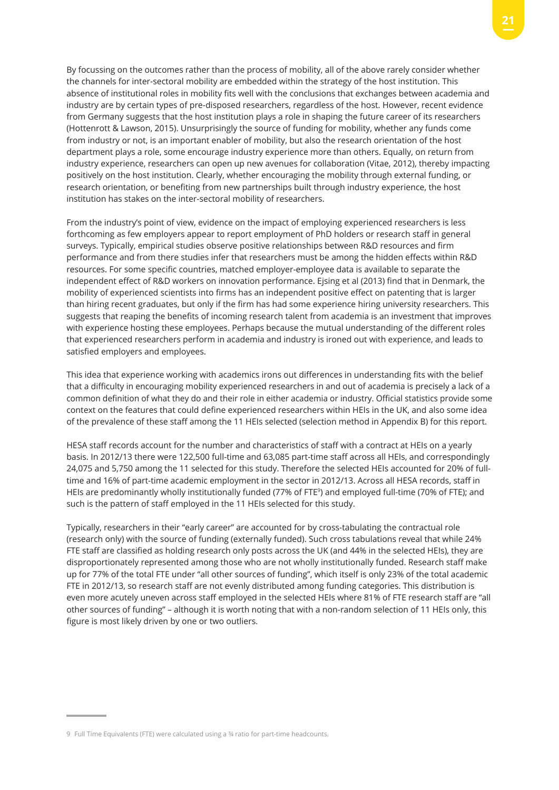By focussing on the outcomes rather than the process of mobility, all of the above rarely consider whether the channels for inter-sectoral mobility are embedded within the strategy of the host institution. This absence of institutional roles in mobility fits well with the conclusions that exchanges between academia and industry are by certain types of pre-disposed researchers, regardless of the host. However, recent evidence from Germany suggests that the host institution plays a role in shaping the future career of its researchers (Hottenrott & Lawson, 2015). Unsurprisingly the source of funding for mobility, whether any funds come from industry or not, is an important enabler of mobility, but also the research orientation of the host department plays a role, some encourage industry experience more than others. Equally, on return from industry experience, researchers can open up new avenues for collaboration (Vitae, 2012), thereby impacting positively on the host institution. Clearly, whether encouraging the mobility through external funding, or research orientation, or benefiting from new partnerships built through industry experience, the host institution has stakes on the inter-sectoral mobility of researchers.

From the industry's point of view, evidence on the impact of employing experienced researchers is less forthcoming as few employers appear to report employment of PhD holders or research staff in general surveys. Typically, empirical studies observe positive relationships between R&D resources and firm performance and from there studies infer that researchers must be among the hidden effects within R&D resources. For some specific countries, matched employer-employee data is available to separate the independent effect of R&D workers on innovation performance. Ejsing et al (2013) find that in Denmark, the mobility of experienced scientists into firms has an independent positive effect on patenting that is larger than hiring recent graduates, but only if the firm has had some experience hiring university researchers. This suggests that reaping the benefits of incoming research talent from academia is an investment that improves with experience hosting these employees. Perhaps because the mutual understanding of the different roles that experienced researchers perform in academia and industry is ironed out with experience, and leads to satisfied employers and employees.

This idea that experience working with academics irons out differences in understanding fits with the belief that a difficulty in encouraging mobility experienced researchers in and out of academia is precisely a lack of a common definition of what they do and their role in either academia or industry. Official statistics provide some context on the features that could define experienced researchers within HEIs in the UK, and also some idea of the prevalence of these staff among the 11 HEIs selected (selection method in Appendix B) for this report.

HESA staff records account for the number and characteristics of staff with a contract at HEIs on a yearly basis. In 2012/13 there were 122,500 full-time and 63,085 part-time staff across all HEIs, and correspondingly 24,075 and 5,750 among the 11 selected for this study. Therefore the selected HEIs accounted for 20% of fulltime and 16% of part-time academic employment in the sector in 2012/13. Across all HESA records, staff in HEIs are predominantly wholly institutionally funded (77% of FTE9) and employed full-time (70% of FTE); and such is the pattern of staff employed in the 11 HEIs selected for this study.

Typically, researchers in their "early career" are accounted for by cross-tabulating the contractual role (research only) with the source of funding (externally funded). Such cross tabulations reveal that while 24% FTE staff are classified as holding research only posts across the UK (and 44% in the selected HEIs), they are disproportionately represented among those who are not wholly institutionally funded. Research staff make up for 77% of the total FTE under "all other sources of funding", which itself is only 23% of the total academic FTE in 2012/13, so research staff are not evenly distributed among funding categories. This distribution is even more acutely uneven across staff employed in the selected HEIs where 81% of FTE research staff are "all other sources of funding" – although it is worth noting that with a non-random selection of 11 HEIs only, this figure is most likely driven by one or two outliers.

<sup>9</sup> Full Time Equivalents (FTE) were calculated using a ¾ ratio for part-time headcounts.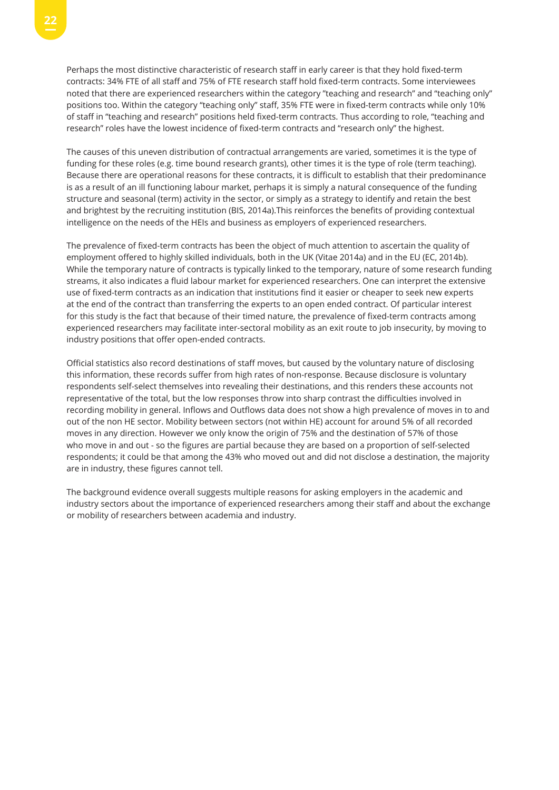Perhaps the most distinctive characteristic of research staff in early career is that they hold fixed-term contracts: 34% FTE of all staff and 75% of FTE research staff hold fixed-term contracts. Some interviewees noted that there are experienced researchers within the category "teaching and research" and "teaching only" positions too. Within the category "teaching only" staff, 35% FTE were in fixed-term contracts while only 10% of staff in "teaching and research" positions held fixed-term contracts. Thus according to role, "teaching and research" roles have the lowest incidence of fixed-term contracts and "research only" the highest.

The causes of this uneven distribution of contractual arrangements are varied, sometimes it is the type of funding for these roles (e.g. time bound research grants), other times it is the type of role (term teaching). Because there are operational reasons for these contracts, it is difficult to establish that their predominance is as a result of an ill functioning labour market, perhaps it is simply a natural consequence of the funding structure and seasonal (term) activity in the sector, or simply as a strategy to identify and retain the best and brightest by the recruiting institution (BIS, 2014a).This reinforces the benefits of providing contextual intelligence on the needs of the HEIs and business as employers of experienced researchers.

The prevalence of fixed-term contracts has been the object of much attention to ascertain the quality of employment offered to highly skilled individuals, both in the UK (Vitae 2014a) and in the EU (EC, 2014b). While the temporary nature of contracts is typically linked to the temporary, nature of some research funding streams, it also indicates a fluid labour market for experienced researchers. One can interpret the extensive use of fixed-term contracts as an indication that institutions find it easier or cheaper to seek new experts at the end of the contract than transferring the experts to an open ended contract. Of particular interest for this study is the fact that because of their timed nature, the prevalence of fixed-term contracts among experienced researchers may facilitate inter-sectoral mobility as an exit route to job insecurity, by moving to industry positions that offer open-ended contracts.

Official statistics also record destinations of staff moves, but caused by the voluntary nature of disclosing this information, these records suffer from high rates of non-response. Because disclosure is voluntary respondents self-select themselves into revealing their destinations, and this renders these accounts not representative of the total, but the low responses throw into sharp contrast the difficulties involved in recording mobility in general. Inflows and Outflows data does not show a high prevalence of moves in to and out of the non HE sector. Mobility between sectors (not within HE) account for around 5% of all recorded moves in any direction. However we only know the origin of 75% and the destination of 57% of those who move in and out - so the figures are partial because they are based on a proportion of self-selected respondents; it could be that among the 43% who moved out and did not disclose a destination, the majority are in industry, these figures cannot tell.

The background evidence overall suggests multiple reasons for asking employers in the academic and industry sectors about the importance of experienced researchers among their staff and about the exchange or mobility of researchers between academia and industry.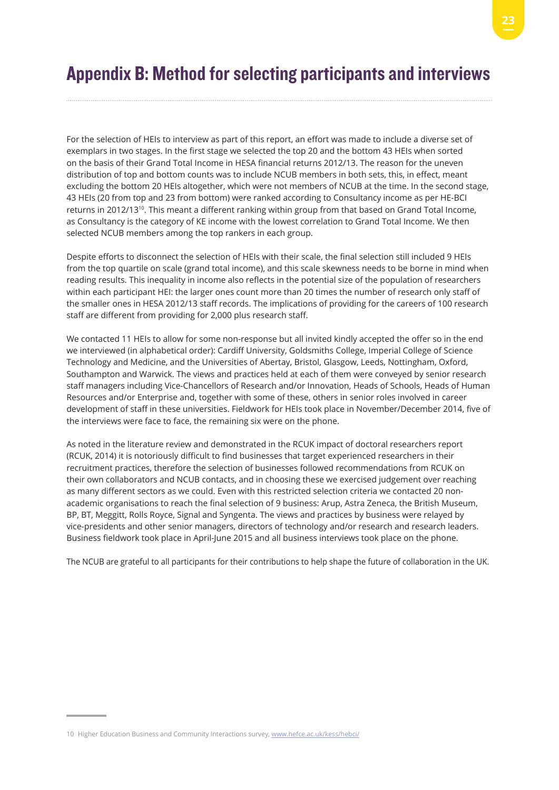## Appendix B: Method for selecting participants and interviews

For the selection of HEIs to interview as part of this report, an effort was made to include a diverse set of exemplars in two stages. In the first stage we selected the top 20 and the bottom 43 HEIs when sorted on the basis of their Grand Total Income in HESA financial returns 2012/13. The reason for the uneven distribution of top and bottom counts was to include NCUB members in both sets, this, in effect, meant excluding the bottom 20 HEIs altogether, which were not members of NCUB at the time. In the second stage, 43 HEIs (20 from top and 23 from bottom) were ranked according to Consultancy income as per HE-BCI returns in 2012/13<sup>10</sup>. This meant a different ranking within group from that based on Grand Total Income, as Consultancy is the category of KE income with the lowest correlation to Grand Total Income. We then selected NCUB members among the top rankers in each group.

Despite efforts to disconnect the selection of HEIs with their scale, the final selection still included 9 HEIs from the top quartile on scale (grand total income), and this scale skewness needs to be borne in mind when reading results. This inequality in income also reflects in the potential size of the population of researchers within each participant HEI: the larger ones count more than 20 times the number of research only staff of the smaller ones in HESA 2012/13 staff records. The implications of providing for the careers of 100 research staff are different from providing for 2,000 plus research staff.

We contacted 11 HEIs to allow for some non-response but all invited kindly accepted the offer so in the end we interviewed (in alphabetical order): Cardiff University, Goldsmiths College, Imperial College of Science Technology and Medicine, and the Universities of Abertay, Bristol, Glasgow, Leeds, Nottingham, Oxford, Southampton and Warwick. The views and practices held at each of them were conveyed by senior research staff managers including Vice-Chancellors of Research and/or Innovation, Heads of Schools, Heads of Human Resources and/or Enterprise and, together with some of these, others in senior roles involved in career development of staff in these universities. Fieldwork for HEIs took place in November/December 2014, five of the interviews were face to face, the remaining six were on the phone.

As noted in the literature review and demonstrated in the RCUK impact of doctoral researchers report (RCUK, 2014) it is notoriously difficult to find businesses that target experienced researchers in their recruitment practices, therefore the selection of businesses followed recommendations from RCUK on their own collaborators and NCUB contacts, and in choosing these we exercised judgement over reaching as many different sectors as we could. Even with this restricted selection criteria we contacted 20 nonacademic organisations to reach the final selection of 9 business: Arup, Astra Zeneca, the British Museum, BP, BT, Meggitt, Rolls Royce, Signal and Syngenta. The views and practices by business were relayed by vice-presidents and other senior managers, directors of technology and/or research and research leaders. Business fieldwork took place in April-June 2015 and all business interviews took place on the phone.

The NCUB are grateful to all participants for their contributions to help shape the future of collaboration in the UK.

<sup>10</sup> Higher Education Business and Community Interactions survey, www.hefce.ac.uk/kess/hebci/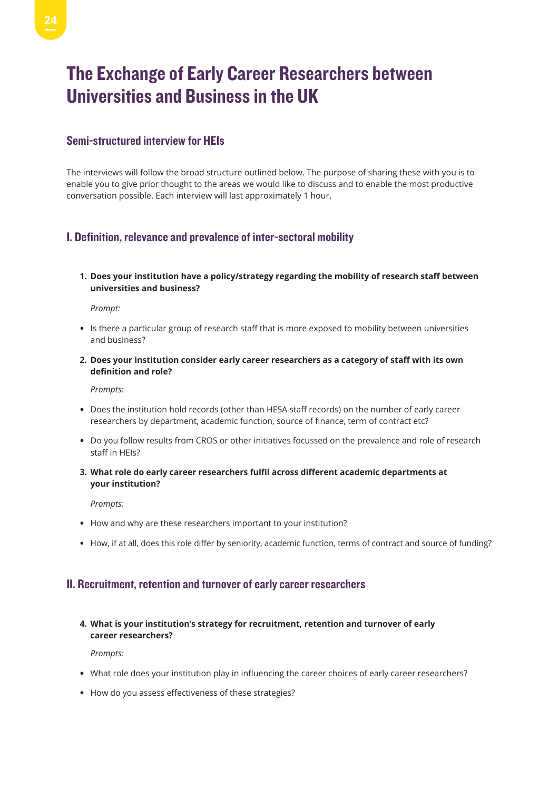## The Exchange of Early Career Researchers between Universities and Business in the UK

### Semi-structured interview for HEIs

The interviews will follow the broad structure outlined below. The purpose of sharing these with you is to enable you to give prior thought to the areas we would like to discuss and to enable the most productive conversation possible. Each interview will last approximately 1 hour.

### I. Definition, relevance and prevalence of inter-sectoral mobility

**1. Does your institution have a policy/strategy regarding the mobility of research staff between universities and business?** 

#### *Prompt:*

- Is there a particular group of research staff that is more exposed to mobility between universities and business?
- **2. Does your institution consider early career researchers as a category of staff with its own definition and role?**

#### *Prompts:*

- Does the institution hold records (other than HESA staff records) on the number of early career researchers by department, academic function, source of finance, term of contract etc?
- Do you follow results from CROS or other initiatives focussed on the prevalence and role of research staff in HEIs?
- **3. What role do early career researchers fulfil across different academic departments at your institution?**

#### *Prompts:*

- How and why are these researchers important to your institution?
- How, if at all, does this role differ by seniority, academic function, terms of contract and source of funding?

### II. Recruitment, retention and turnover of early career researchers

**4. What is your institution's strategy for recruitment, retention and turnover of early career researchers?** 

*Prompts:*

- What role does your institution play in influencing the career choices of early career researchers?
- How do you assess effectiveness of these strategies?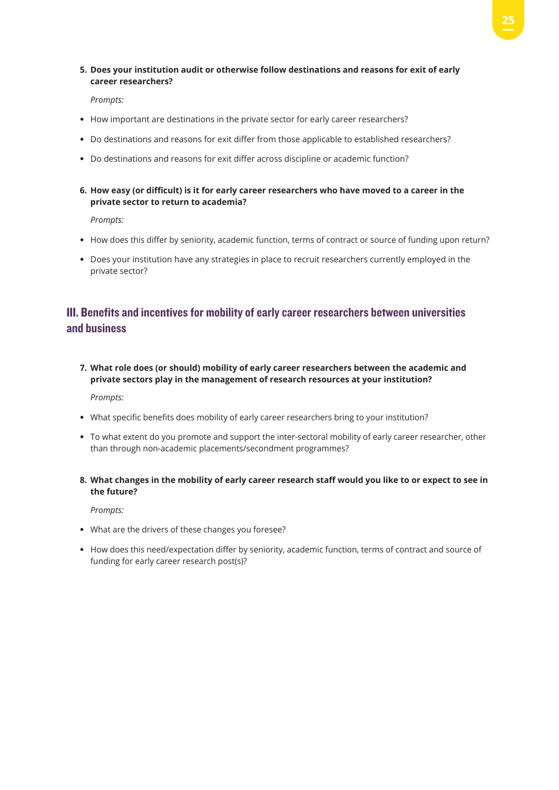**5. Does your institution audit or otherwise follow destinations and reasons for exit of early career researchers?**

*Prompts:*

- How important are destinations in the private sector for early career researchers?
- Do destinations and reasons for exit differ from those applicable to established researchers?
- Do destinations and reasons for exit differ across discipline or academic function?
- 6. How easy (or difficult) is it for early career researchers who have moved to a career in the **private sector to return to academia?**

*Prompts:*

- How does this differ by seniority, academic function, terms of contract or source of funding upon return?
- Does your institution have any strategies in place to recruit researchers currently employed in the private sector?

### III. Benefits and incentives for mobility of early career researchers between universities and business

**7. What role does (or should) mobility of early career researchers between the academic and private sectors play in the management of research resources at your institution?**

*Prompts:*

- What specific benefits does mobility of early career researchers bring to your institution?
- To what extent do you promote and support the inter-sectoral mobility of early career researcher, other than through non-academic placements/secondment programmes?
- 8. What changes in the mobility of early career research staff would you like to or expect to see in **the future?**

*Prompts:*

- What are the drivers of these changes you foresee?
- How does this need/expectation differ by seniority, academic function, terms of contract and source of funding for early career research post(s)?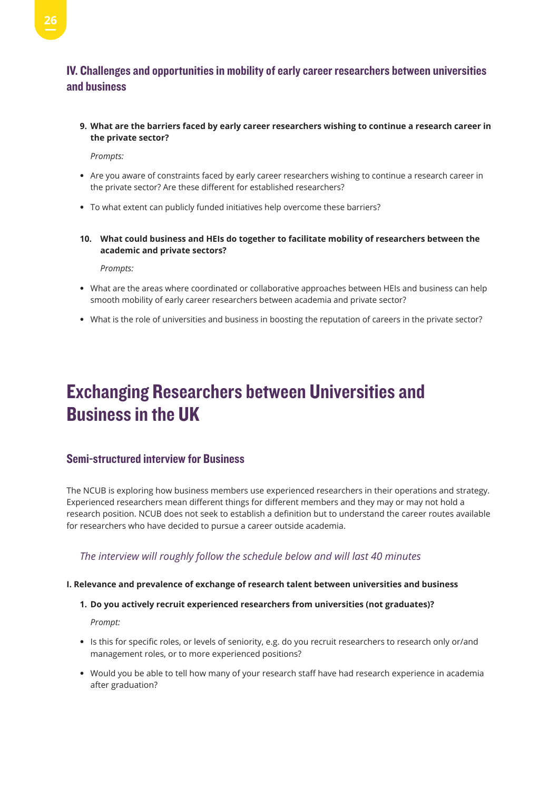### IV. Challenges and opportunities in mobility of early career researchers between universities and business

**9. What are the barriers faced by early career researchers wishing to continue a research career in the private sector?**

*Prompts:*

- Are you aware of constraints faced by early career researchers wishing to continue a research career in the private sector? Are these different for established researchers?
- To what extent can publicly funded initiatives help overcome these barriers?
- **10. What could business and HEIs do together to facilitate mobility of researchers between the academic and private sectors?**

 *Prompts:*

- What are the areas where coordinated or collaborative approaches between HEIs and business can help smooth mobility of early career researchers between academia and private sector?
- What is the role of universities and business in boosting the reputation of careers in the private sector?

## Exchanging Researchers between Universities and Business in the UK

### Semi-structured interview for Business

The NCUB is exploring how business members use experienced researchers in their operations and strategy. Experienced researchers mean different things for different members and they may or may not hold a research position. NCUB does not seek to establish a definition but to understand the career routes available for researchers who have decided to pursue a career outside academia.

### *The interview will roughly follow the schedule below and will last 40 minutes*

#### **I. Relevance and prevalence of exchange of research talent between universities and business**

#### **1. Do you actively recruit experienced researchers from universities (not graduates)?**

*Prompt:* 

- Is this for specific roles, or levels of seniority, e.g. do you recruit researchers to research only or/and management roles, or to more experienced positions?
- Would you be able to tell how many of your research staff have had research experience in academia after graduation?

**26**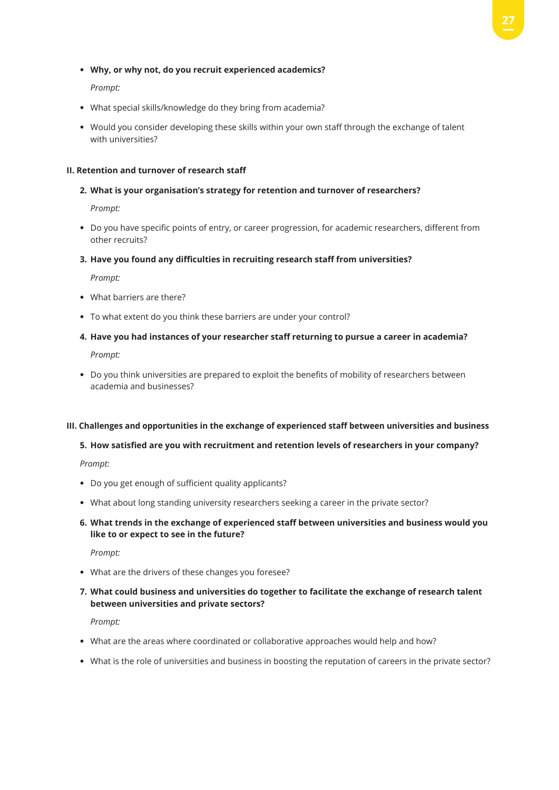#### • **Why, or why not, do you recruit experienced academics?**

*Prompt:*

- What special skills/knowledge do they bring from academia?
- Would you consider developing these skills within your own staff through the exchange of talent with universities?

#### **II. Retention and turnover of research staff**

#### **2. What is your organisation's strategy for retention and turnover of researchers?**

*Prompt:* 

- Do you have specific points of entry, or career progression, for academic researchers, different from other recruits?
- **3. Have you found any difficulties in recruiting research staff from universities?**

*Prompt:* 

- What barriers are there?
- To what extent do you think these barriers are under your control?
- **4. Have you had instances of your researcher staff returning to pursue a career in academia?**

*Prompt:*

• Do you think universities are prepared to exploit the benefits of mobility of researchers between academia and businesses?

#### **III. Challenges and opportunities in the exchange of experienced staff between universities and business**

#### **5. How satisfied are you with recruitment and retention levels of researchers in your company?**

*Prompt:*

- Do you get enough of sufficient quality applicants?
- What about long standing university researchers seeking a career in the private sector?
- **6. What trends in the exchange of experienced staff between universities and business would you like to or expect to see in the future?**

*Prompt:*

- What are the drivers of these changes you foresee?
- **7. What could business and universities do together to facilitate the exchange of research talent between universities and private sectors?**

*Prompt:*

- What are the areas where coordinated or collaborative approaches would help and how?
- What is the role of universities and business in boosting the reputation of careers in the private sector?

**27**